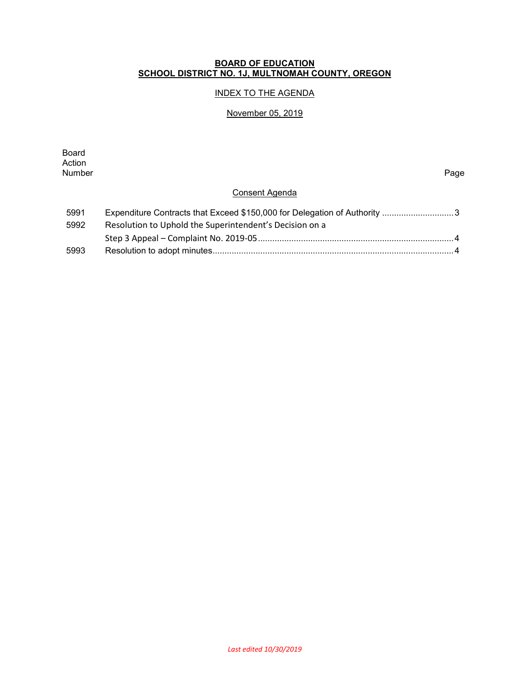#### **BOARD OF EDUCATION SCHOOL DISTRICT NO. 1J, MULTNOMAH COUNTY, OREGON**

# INDEX TO THE AGENDA

### November 05, 2019

Board Action<br>Number Number Page

## Consent Agenda

| 5991 |                                                         |
|------|---------------------------------------------------------|
| 5992 | Resolution to Uphold the Superintendent's Decision on a |
|      |                                                         |
| 5993 |                                                         |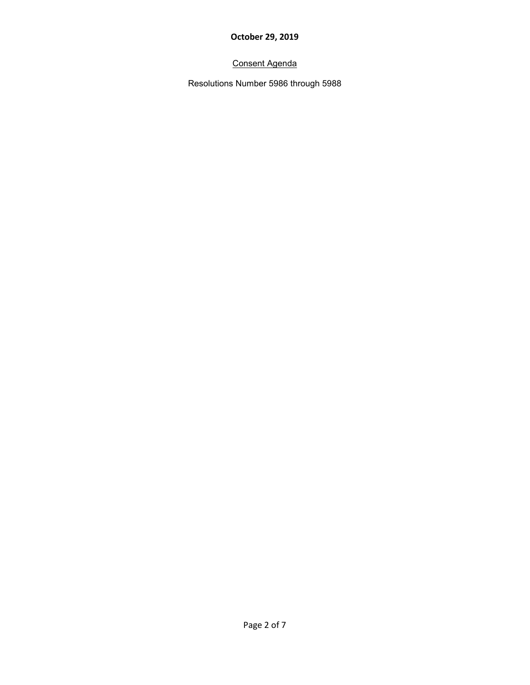# Consent Agenda

Resolutions Number 5986 through 5988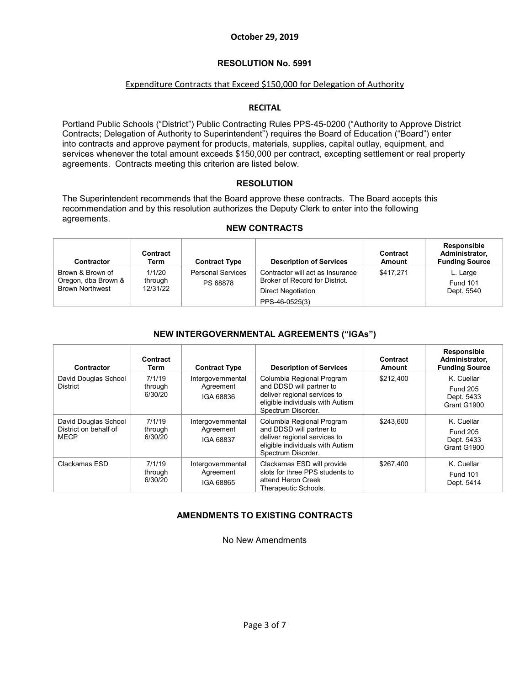#### **RESOLUTION No. 5991**

#### Expenditure Contracts that Exceed \$150,000 for Delegation of Authority

#### **RECITAL**

Portland Public Schools ("District") Public Contracting Rules PPS-45-0200 ("Authority to Approve District Contracts; Delegation of Authority to Superintendent") requires the Board of Education ("Board") enter into contracts and approve payment for products, materials, supplies, capital outlay, equipment, and services whenever the total amount exceeds \$150,000 per contract, excepting settlement or real property agreements. Contracts meeting this criterion are listed below.

#### **RESOLUTION**

The Superintendent recommends that the Board approve these contracts. The Board accepts this recommendation and by this resolution authorizes the Deputy Clerk to enter into the following agreements.

#### **NEW CONTRACTS**

| <b>Contractor</b>                                                 | Contract<br>Term              | <b>Contract Type</b>                 | <b>Description of Services</b>                                                                             | Contract<br>Amount | <b>Responsible</b><br>Administrator,<br><b>Funding Source</b> |
|-------------------------------------------------------------------|-------------------------------|--------------------------------------|------------------------------------------------------------------------------------------------------------|--------------------|---------------------------------------------------------------|
| Brown & Brown of<br>Oregon, dba Brown &<br><b>Brown Northwest</b> | 1/1/20<br>through<br>12/31/22 | <b>Personal Services</b><br>PS 68878 | Contractor will act as Insurance<br>Broker of Record for District.<br>Direct Negotiation<br>PPS-46-0525(3) | \$417.271          | L. Large<br><b>Fund 101</b><br>Dept. 5540                     |

#### **NEW INTERGOVERNMENTAL AGREEMENTS ("IGAs")**

| Contractor                                                   | Contract<br>Term             | <b>Contract Type</b>                        | <b>Description of Services</b>                                                                                                                  | Contract<br><b>Amount</b> | Responsible<br>Administrator,<br><b>Funding Source</b>     |
|--------------------------------------------------------------|------------------------------|---------------------------------------------|-------------------------------------------------------------------------------------------------------------------------------------------------|---------------------------|------------------------------------------------------------|
| David Douglas School<br><b>District</b>                      | 7/1/19<br>through<br>6/30/20 | Intergovernmental<br>Agreement<br>IGA 68836 | Columbia Regional Program<br>and DDSD will partner to<br>deliver regional services to<br>eligible individuals with Autism<br>Spectrum Disorder. | \$212.400                 | K. Cuellar<br><b>Fund 205</b><br>Dept. 5433<br>Grant G1900 |
| David Douglas School<br>District on behalf of<br><b>MECP</b> | 7/1/19<br>through<br>6/30/20 | Intergovernmental<br>Agreement<br>IGA 68837 | Columbia Regional Program<br>and DDSD will partner to<br>deliver regional services to<br>eligible individuals with Autism<br>Spectrum Disorder. | \$243.600                 | K. Cuellar<br><b>Fund 205</b><br>Dept. 5433<br>Grant G1900 |
| Clackamas ESD                                                | 7/1/19<br>through<br>6/30/20 | Intergovernmental<br>Agreement<br>IGA 68865 | Clackamas ESD will provide<br>slots for three PPS students to<br>attend Heron Creek<br>Therapeutic Schools.                                     | \$267,400                 | K. Cuellar<br><b>Fund 101</b><br>Dept. 5414                |

#### **AMENDMENTS TO EXISTING CONTRACTS**

No New Amendments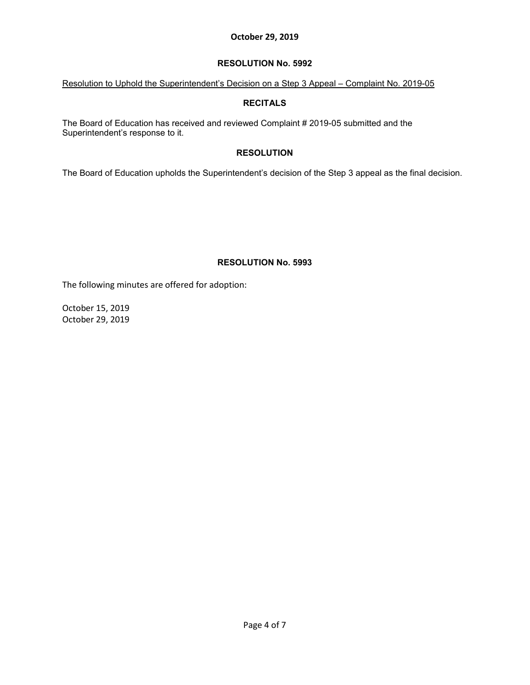#### **RESOLUTION No. 5992**

### Resolution to Uphold the Superintendent's Decision on a Step 3 Appeal – Complaint No. 2019-05

### **RECITALS**

The Board of Education has received and reviewed Complaint # 2019-05 submitted and the Superintendent's response to it.

## **RESOLUTION**

The Board of Education upholds the Superintendent's decision of the Step 3 appeal as the final decision.

## **RESOLUTION No. 5993**

The following minutes are offered for adoption:

October 15, 2019 October 29, 2019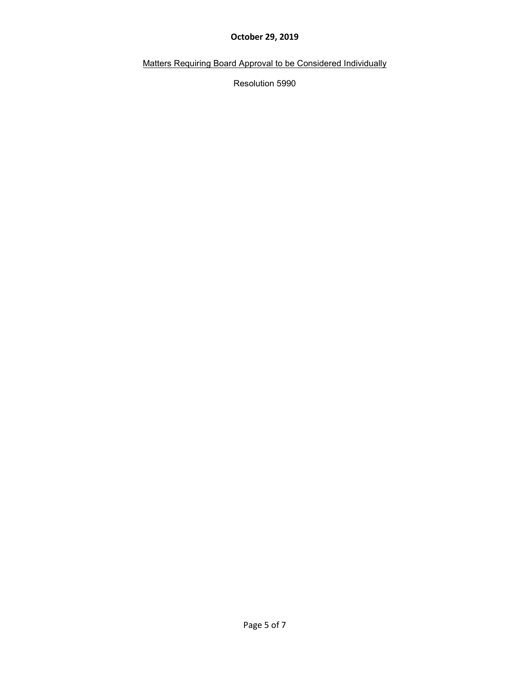Matters Requiring Board Approval to be Considered Individually

Resolution 5990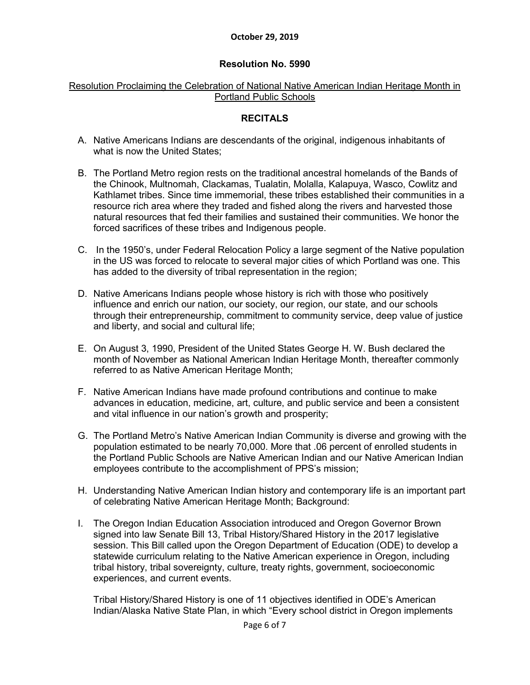# **Resolution No. 5990**

# Resolution Proclaiming the Celebration of National Native American Indian Heritage Month in Portland Public Schools

# **RECITALS**

- A. Native Americans Indians are descendants of the original, indigenous inhabitants of what is now the United States;
- B. The Portland Metro region rests on the traditional ancestral homelands of the Bands of the Chinook, Multnomah, Clackamas, Tualatin, Molalla, Kalapuya, Wasco, Cowlitz and Kathlamet tribes. Since time immemorial, these tribes established their communities in a resource rich area where they traded and fished along the rivers and harvested those natural resources that fed their families and sustained their communities. We honor the forced sacrifices of these tribes and Indigenous people.
- C. In the 1950's, under Federal Relocation Policy a large segment of the Native population in the US was forced to relocate to several major cities of which Portland was one. This has added to the diversity of tribal representation in the region;
- D. Native Americans Indians people whose history is rich with those who positively influence and enrich our nation, our society, our region, our state, and our schools through their entrepreneurship, commitment to community service, deep value of justice and liberty, and social and cultural life;
- E. On August 3, 1990, [President of the United States](https://en.wikipedia.org/wiki/President_of_the_United_States) [George H. W. Bush](https://en.wikipedia.org/wiki/George_H._W._Bush) declared the month of November as National American Indian Heritage Month, thereafter commonly referred to as Native American Heritage Month;
- F. Native American Indians have made profound contributions and continue to make advances in education, medicine, art, culture, and public service and been a consistent and vital influence in our nation's growth and prosperity;
- G. The Portland Metro's Native American Indian Community is diverse and growing with the population estimated to be nearly 70,000. More that .06 percent of enrolled students in the Portland Public Schools are Native American Indian and our Native American Indian employees contribute to the accomplishment of PPS's mission;
- H. Understanding Native American Indian history and contemporary life is an important part of celebrating Native American Heritage Month; Background:
- I. The Oregon Indian Education Association introduced and Oregon Governor Brown signed into law Senate Bill 13, Tribal History/Shared History in the 2017 legislative session. This Bill called upon the Oregon Department of Education (ODE) to develop a statewide curriculum relating to the Native American experience in Oregon, including tribal history, tribal sovereignty, culture, treaty rights, government, socioeconomic experiences, and current events.

Tribal History/Shared History is one of 11 objectives identified in ODE's American Indian/Alaska Native State Plan, in which "Every school district in Oregon implements